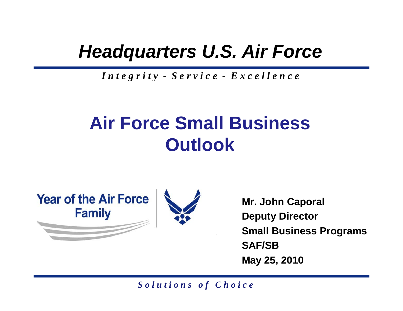### *Headquarters U.S. Air Force*

#### *I n t e g r i t y - S e r v i c e - E x c e l l e n c e*

### **Air Force Small Business Outlook**



**Mr. John Caporal D t Di t Depu ty Direc tor Small Business Programs SAF/SBMay 25, 2010**

*S o l u t i o n s o f C h o i c e*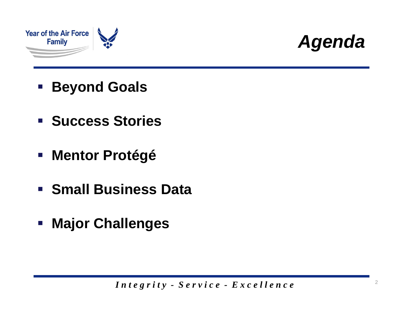



- $\mathcal{L}_{\mathcal{A}}$ **Beyond Goals**
- **F** Success Stories
- **Mentor Protégé**
- **Small Business Data**
- **Major Challenges**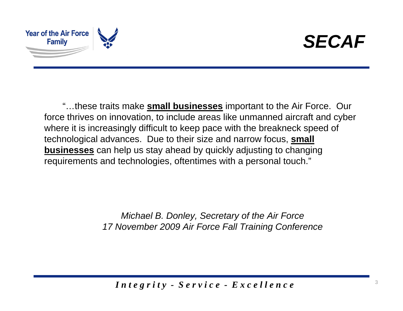



"…these traits make **small businesses** important to the Air Force. Our force thrives on innovation, to include areas like unmanned aircraft and cyber where it is increasingly difficult to keep pace with the breakneck speed of technological advances. Due to their size and narrow focus, <u>small</u> **businesses** can help us stay ahead by quickly adjusting to changing requirements and technologies, oftentimes with a personal touch."

> Michael B. Donley, Secretary of the Air Force *17 November 2009 Air Force Fall Training Conference*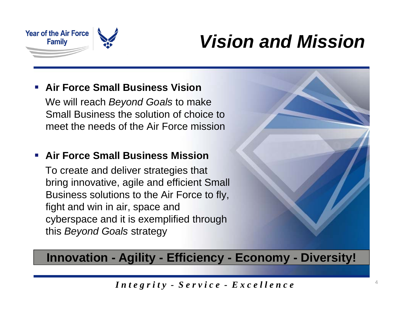

### *Vision and Mission*

#### $\mathbb{R}^3$ **Air Force Small Business Vision**

We will reach *Beyond Goals* to make Small Business the solution of choice to meet the needs of the Air Force mission

#### $\mathcal{C}^{\mathcal{A}}$ **Air Force Small Business Mission**

To create and deliver strate gies that bring innovative, agile and efficient Small Business solutions to the Air Force to fly, fight and win in air, space and cyberspace and it is exemplified through this *Beyond Goals* strategy



#### Innovation - Agility - Efficiency - Economy - Diversity!

*I n t e g r i t y - S e r v i c e - E x c e l l e n c e*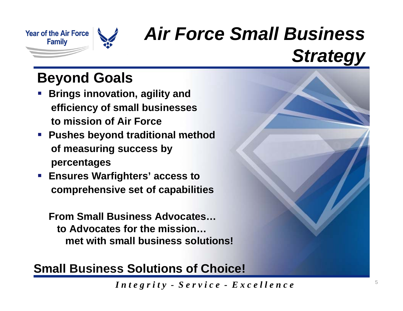

### *Air Force Small Business Strategy*

### **Beyond Goals**

- h. **Brings innovation, agility and efficiency of small businesses to mission of Air Force**
- **Pushes beyond traditional method of measuring success by percentages**
- **Ensures Warfighters' access to comprehensive set of capabilities**

**F S ll B i Ad t From Small Business Advocates… to Advocates for the mission… met with small business solutions!**

#### **Small Business Solutions of Choice!**

*I n t e g r i t y - S e r v i c e - E x c e l l e n c e*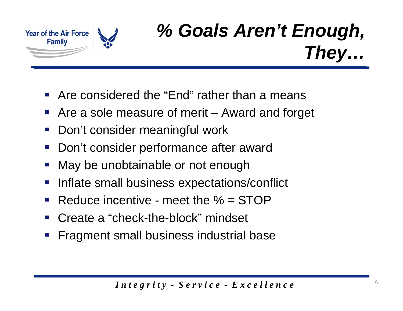

### *% Goals Aren't Enough, They…*

- $\mathcal{L}_{\mathcal{A}}$ **• Are considered the "End" rather than a means**
- $\mathcal{L}_{\mathcal{A}}$ Are a sole measure of merit – Award and forget
- $\mathcal{L}_{\mathcal{A}}$ **-** Don't consider meaningful work
- $\mathcal{L}^{\text{max}}$ Don't consider performance after award
- $\mathcal{L}_{\mathcal{A}}$ May be unobtainable or not enough
- $\mathcal{L}_{\mathcal{A}}$ Inflate small business expectations/conflict
- $\mathcal{L}_{\mathcal{A}}$ Reduce incentive - meet the % = STOP
- • Create a "check-the-block" mindset
- $\mathcal{L}_{\mathcal{A}}$ Fragment small business industrial base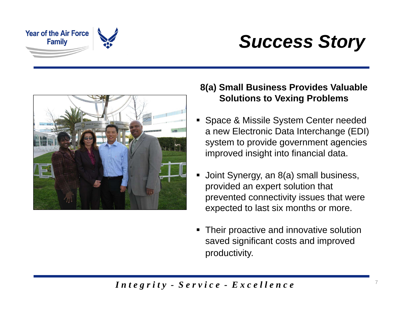

### *Success Story*



#### **8(a) Small Business Provides Valuable S l ti t V i P bl olutions to Vexing Problems**

- **Space & Missile System Center needed** a new Electronic Data Interchange (EDI) system to provide government agencies improved insight into financial data.
- $\blacksquare$ Joint Synergy, an 8(a) small business, provided an expert solution that prevented connectivity issues that were expected to last six months or more.
- $\blacksquare$  Their proactive and innovative solution saved significant costs and improved productivity .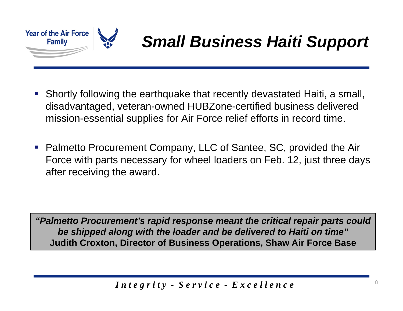

### *Small Business Haiti Support*

- **Shortly following the earthquake that recently devastated Haiti, a small, n** disadvantaged, veteran-owned HUBZone-certified business delivered mission-essential supplies for Air Force relief efforts in record time.
- Palmetto Procurement Company, LLC of Santee, SC, provided the Air Force with parts necessary for wheel loaders on Feb. 12, just three days after receiving the award.

*"Palmetto Procurement's rapid response meant the critical repair parts could be shipped along with the loader and be delivered to Haiti on time"*  **Judith Croxton, Director of Business Operations, Shaw Air Force Base**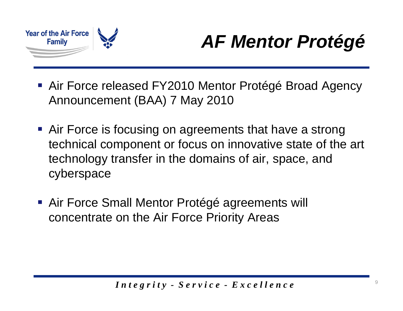

## *AF Mentor Protégé*

- Air Force released FY2010 Mentor Protégé Broad Agency Announcement (BAA) 7 May 2010
- **Air Force is focusing on agreements that have a strong** technical component or focus on innovative state of the art technology transfer in the domains of air, space, and cyberspace
- Air Force Small Mentor Protégé agreements will concentrate on the Air Force Priority Areas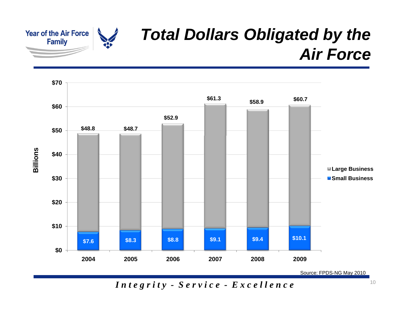

### *Total Dollars Obligated by the Air Force*

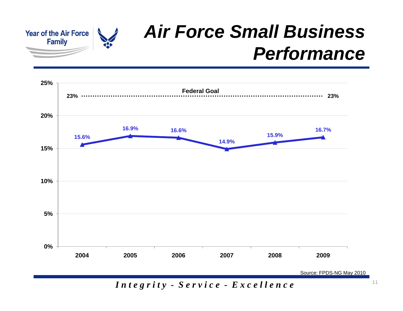

### *Air Force Small Business Performance*



*I n t e g r i t y - S e r v i c e - E x c e l l e n c e*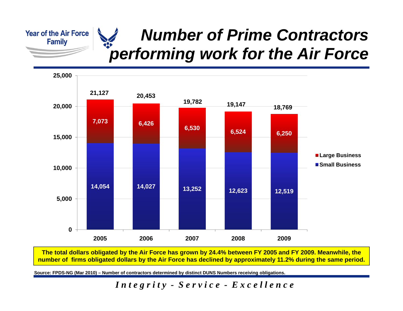**Year of the Air Force Family** 

#### *Number of Prime Contractors*   $\overline{\bullet}$ *performing work for the Air Force*



The total dollars obligated by the Air Force has grown by 24.4% between FY 2005 and FY 2009. Meanwhile, the **number of firms obligated dollars by the Air Force has declined by approximately 11.2% during the same period.** 

**Source: FPDS-NG (Mar 2010) – Number of contractors determined by distinct DUNS Numbers receiving obligations.**

*I n t e g r i t y - S e r v i c e - E x c e l l e n c e*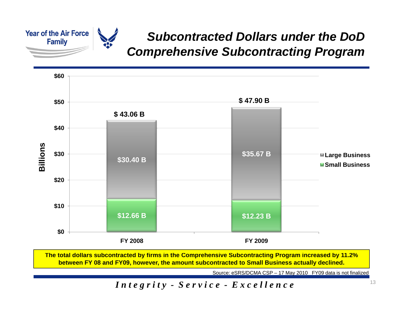

#### *Subcontracted Dollars under the DoD Comprehensive Subcontracting Program*



The total dollars subcontracted by firms in the Comprehensive Subcontracting Program increased by 11.2% **between FY 08 and FY09, however, the amount subcontracted to Small Business actually declined.** 

Source: eSRS/DCMA CSP – 17 May 2010 FY09 data is not finalized

#### *Integrity -*  $S$  *ervice -*  $E$  *x c ellence*<sup>13</sup>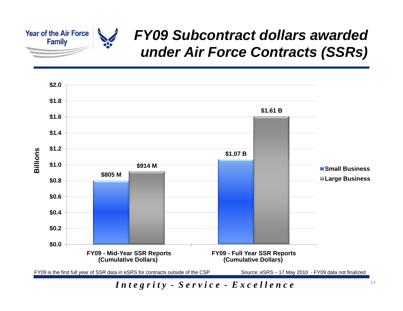

### *FY09 Subcontract dollars awarded under Air Force Contracts ( ) SSRs*

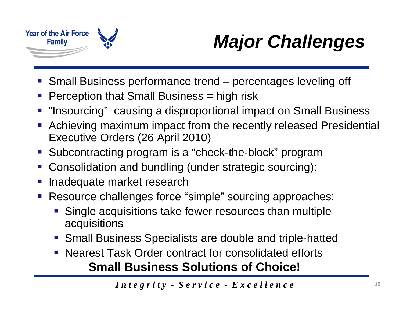

# *Major Challenges*

- Small Business performance trend percentages leveling off
- **Perception that Small Business = high risk**
- **"Insourcing" causing a disproportional impact on Small Business**
- Achieving maximum impact from the recently released Presidential Executive Orders (26 April 2010)
- Subcontracting program is a "check-the-block" program
- Consolidation and bundling (under strategic sourcing):
- Inadequate market research
- **Resource challenges force "simple" sourcing approaches:** 
	- $\frac{1}{2}$ Single acquisitions take fewer resources than multiple acquisitions
	- Small Business Specialists are double and triple-hatted
	- Nearest Task Order contract for consolidated efforts **Small Business Solutions of Choice!**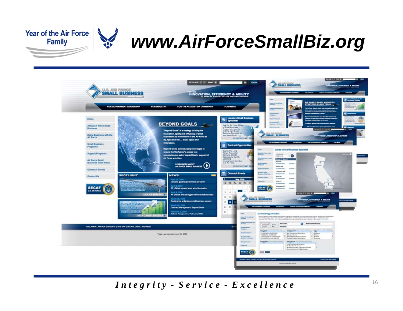

### *www.AirForceSmallBiz.org*

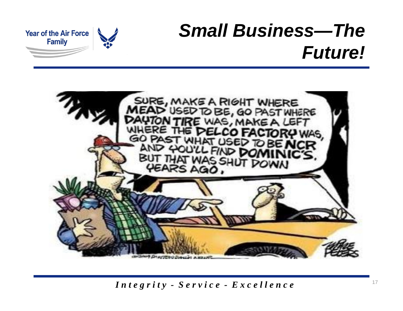### *Small Business—The Future!*



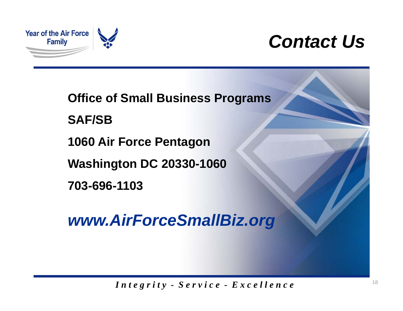

### *Contact Us*

**Office of Small Business Programs**

**SAF/SB**

**1060 Air Force Pentagon**

**Washington DC 20330-1060**

**703-696-1103**

*www.AirForceSmallBiz.org*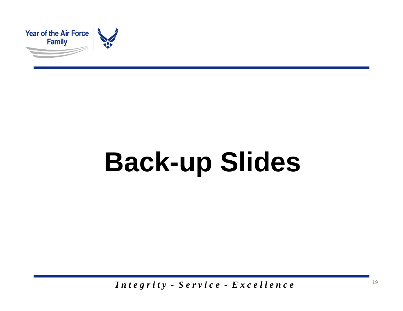

# **Back-up Slides**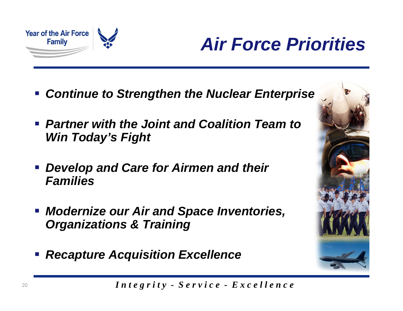

### *Air Force Priorities*

- *Continue to Strengthen the Nuclear Enterprise Enterprise*
- *Partner with the Joint and Coalition Team to Win Today's Fight Today's*
- *Develop and Care for Airmen and their Families*
- $\mathcal{L}_{\mathcal{A}}$  *Modernize our Air and Space Inventories, Organizations & Training*
- $\mathbb{R}^3$ *Recapture Acquisition Excellence*



*I n t e g r i t y - S e r v i c e - E x c e l l e n c e*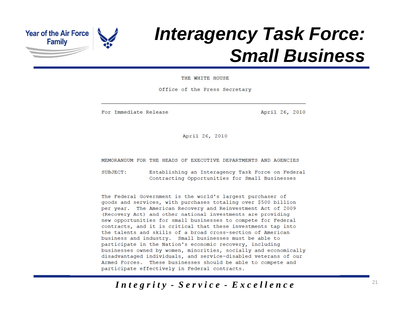

### *Interagency Task Force: Small Business*

THE WHITE HOUSE

Office of the Press Secretary

For Immediate Release

April 26, 2010

April 26, 2010

MEMORANDUM FOR THE HEADS OF EXECUTIVE DEPARTMENTS AND AGENCIES

SUBJECT: Establishing an Interagency Task Force on Federal Contracting Opportunities for Small Businesses

The Federal Government is the world's largest purchaser of goods and services, with purchases totaling over \$500 billion per year. The American Recovery and Reinvestment Act of 2009 (Recovery Act) and other national investments are providing new opportunities for small businesses to compete for Federal contracts, and it is critical that these investments tap into the talents and skills of a broad cross-section of American business and industry. Small businesses must be able to participate in the Nation's economic recovery, including businesses owned by women, minorities, socially and economically disadvantaged individuals, and service-disabled veterans of our Armed Forces. These businesses should be able to compete and participate effectively in Federal contracts.